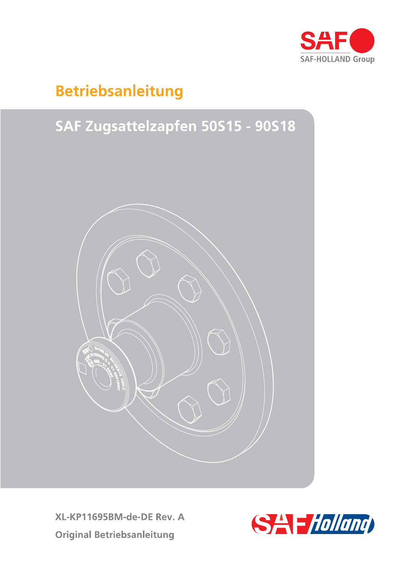

# **Betriebsanleitung**

# SAF Zugsattelzapfen 50S15 - 90S18



XL-KP11695BM-de-DE Rev. A **Original Betriebsanleitung** 

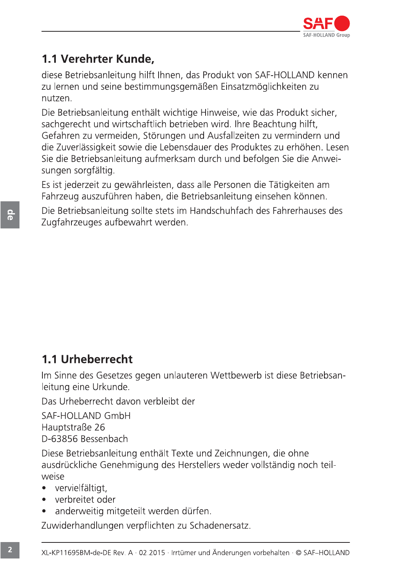

# 1.1 Verehrter Kunde,

diese Betriebsanleitung hilft Ihnen, das Produkt von SAF-HOLLAND kennen zu lernen und seine bestimmungsgemäßen Einsatzmöglichkeiten zu nutzen.

Die Betriebsanleitung enthält wichtige Hinweise, wie das Produkt sicher, sachgerecht und wirtschaftlich betrieben wird. Ihre Beachtung hilft, Gefahren zu vermeiden, Störungen und Ausfallzeiten zu vermindern und die Zuverlässigkeit sowie die Lebensdauer des Produktes zu erhöhen. Lesen Sie die Betriebsanleitung aufmerksam durch und befolgen Sie die Anweisungen sorgfältig.

Es ist jederzeit zu gewährleisten, dass alle Personen die Tätigkeiten am Fahrzeug auszuführen haben, die Betriebsanleitung einsehen können.

Die Betriebsanleitung sollte stets im Handschuhfach des Fahrerhauses des Zugfahrzeuges aufbewahrt werden.

# 1.1 Urheberrecht

Im Sinne des Gesetzes gegen unlauteren Wettbewerb ist diese Betriebsanleitung eine Urkunde.

Das Urheberrecht davon verbleibt der

SAF-HOLLAND GmbH Hauptstraße 26 D-63856 Bessenbach

Diese Betriebsanleitung enthält Texte und Zeichnungen, die ohne ausdrückliche Genehmigung des Herstellers weder vollständig noch teilweise

- $\bullet$ vervielfältigt,
- verbreitet oder  $\bullet$
- anderweitig mitgeteilt werden dürfen.

Zuwiderhandlungen verpflichten zu Schadenersatz.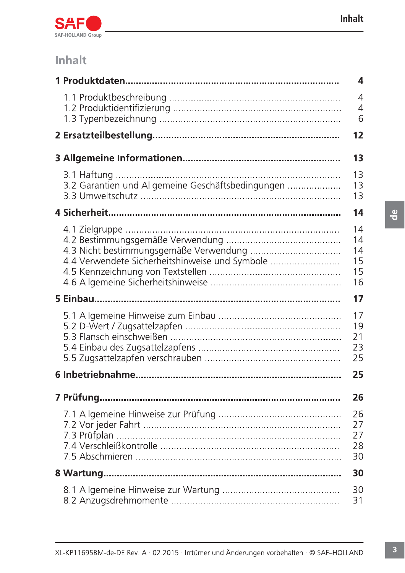

# Inhalt

|                                                   | 4                                     |
|---------------------------------------------------|---------------------------------------|
|                                                   | $\overline{4}$<br>$\overline{4}$<br>6 |
|                                                   | 12                                    |
|                                                   | 13                                    |
| 3.2 Garantien und Allgemeine Geschäftsbedingungen | 13<br>13<br>13                        |
|                                                   | 14                                    |
| 4.4 Verwendete Sicherheitshinweise und Symbole    | 14<br>14<br>14<br>15<br>15<br>16      |
|                                                   | 17                                    |
|                                                   | 17                                    |
|                                                   | 19<br>21<br>23<br>25                  |
|                                                   | 25                                    |
|                                                   | 26                                    |
|                                                   | 26<br>27<br>27<br>28<br>30            |
|                                                   | 30                                    |

 $\overline{\mathbf{3}}$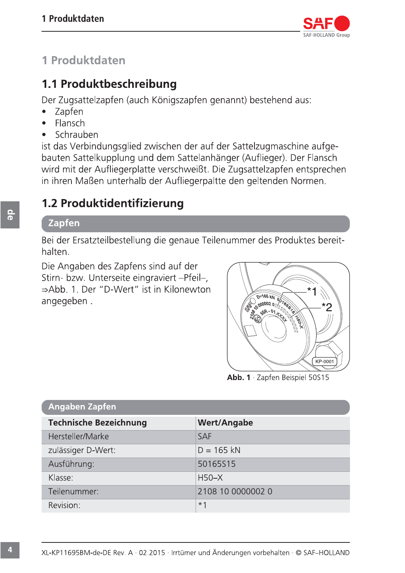

# 1 Produktdaten

# 1.1 Produktbeschreibung

Der Zugsattelzapfen (auch Königszapfen genannt) bestehend aus:

- Zapfen  $\bullet$
- Flansch  $\bullet$
- Schrauben  $\bullet$

ist das Verbindungsglied zwischen der auf der Sattelzugmaschine aufgebauten Sattelkupplung und dem Sattelanhänger (Auflieger). Der Flansch wird mit der Aufliegerplatte verschweißt. Die Zugsattelzapfen entsprechen in ihren Maßen unterhalb der Aufliegerpaltte den geltenden Normen.

# 1.2 Produktidentifizierung

### Zapfen

Bei der Ersatzteilbestellung die genaue Teilenummer des Produktes bereithalten.

Die Angaben des Zapfens sind auf der Stirn- bzw. Unterseite eingraviert -Pfeil-, ⇒Abb. 1. Der "D-Wert" ist in Kilonewton angegeben.



Abb. 1 · Zapfen Beispiel 50S15

| <b>Angaben Zapfen</b>         |                    |  |  |  |  |  |
|-------------------------------|--------------------|--|--|--|--|--|
| <b>Technische Bezeichnung</b> | <b>Wert/Angabe</b> |  |  |  |  |  |
| Hersteller/Marke              | <b>SAF</b>         |  |  |  |  |  |
| zulässiger D-Wert:            | $D = 165$ kN       |  |  |  |  |  |
| Ausführung:                   | 50165S15           |  |  |  |  |  |
| Klasse:                       | $H50-X$            |  |  |  |  |  |
| Teilenummer:                  | 2108 10 0000002 0  |  |  |  |  |  |
| Revision:                     | $*1$               |  |  |  |  |  |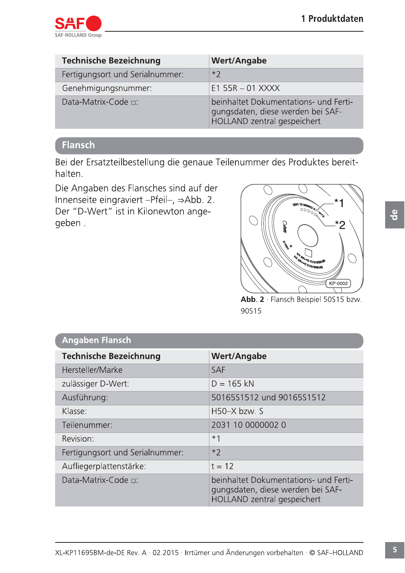

| <b>Technische Bezeichnung</b>   | <b>Wert/Angabe</b>                                                                                        |
|---------------------------------|-----------------------------------------------------------------------------------------------------------|
| Fertigungsort und Serialnummer: | $*$                                                                                                       |
| Genehmigungsnummer:             | E1 55R $-$ 01 XXXX                                                                                        |
| Data-Matrix-Code $\Box$ :       | beinhaltet Dokumentations- und Ferti-<br>gungsdaten, diese werden bei SAF-<br>HOLLAND zentral gespeichert |

### **Flansch**

Bei der Ersatzteilbestellung die genaue Teilenummer des Produktes bereithalten.

Die Angaben des Flansches sind auf der Innenseite eingraviert –Pfeil–, ⇒Abb. 2. Der "D-Wert" ist in Kilonewton angegeben.



Abb. 2 · Flansch Beispiel 50S15 bzw. 90S15

| <b>Angaben Flansch</b>          |                                                                                                           |
|---------------------------------|-----------------------------------------------------------------------------------------------------------|
| <b>Technische Bezeichnung</b>   | <b>Wert/Angabe</b>                                                                                        |
| Hersteller/Marke                | <b>SAF</b>                                                                                                |
| zulässiger D-Wert:              | $D = 165$ kN                                                                                              |
| Ausführung:                     | 50165S1512 und 90165S1512                                                                                 |
| Klasse:                         | H50-X bzw. S                                                                                              |
| Teilenummer:                    | 2031 10 0000002 0                                                                                         |
| Revision:                       | $*1$                                                                                                      |
| Fertigungsort und Serialnummer: | $*2$                                                                                                      |
| Aufliegerplattenstärke:         | $t = 12$                                                                                                  |
| Data-Matrix-Code □:             | beinhaltet Dokumentations- und Ferti-<br>gungsdaten, diese werden bei SAF-<br>HOLLAND zentral gespeichert |
|                                 |                                                                                                           |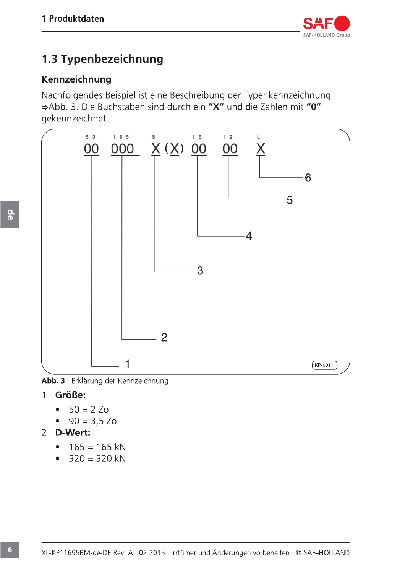

# 1.3 Typenbezeichnung

### Kennzeichnung

Nachfolgendes Beispiel ist eine Beschreibung der Typenkennzeichnung ⇒Abb. 3. Die Buchstaben sind durch ein "X" und die Zahlen mit "0" gekennzeichnet.



Abb. 3 · Erklärung der Kennzeichnung

- Größe:  $\mathbf{1}$ 
	- $50 = 2$  Zoll
	- $90 = 3.5$  Zoll
- 2 D-Wert:
	- $165 = 165$  kN  $\bullet$
	- $320 = 320$  kN  $\bullet$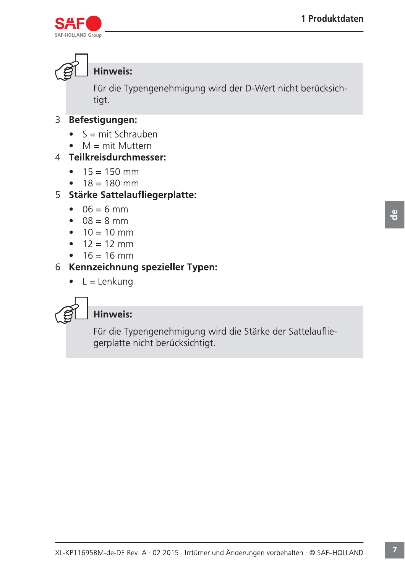



# Hinweis:

Für die Typengenehmigung wird der D-Wert nicht berücksichtigt.

### **Befestigungen:**  $\mathsf{B}$

- $S = mit Schrauben$
- $M = mit Muttern$

### 4 Teilkreisdurchmesser:

- $15 = 150$  mm
- $18 = 180$  mm  $\bullet$

### **Stärke Sattelaufliegerplatte:** 5

- $06 = 6$  mm
- $08 = 8$  mm
- $10 = 10$  mm  $\bullet$
- $12 = 12$  mm  $\bullet$
- $16 = 16$  mm

## 6 Kennzeichnung spezieller Typen:

 $L =$  Lenkung  $\bullet$ 



### **Hinweis:**

Für die Typengenehmigung wird die Stärke der Sattelaufliegerplatte nicht berücksichtigt.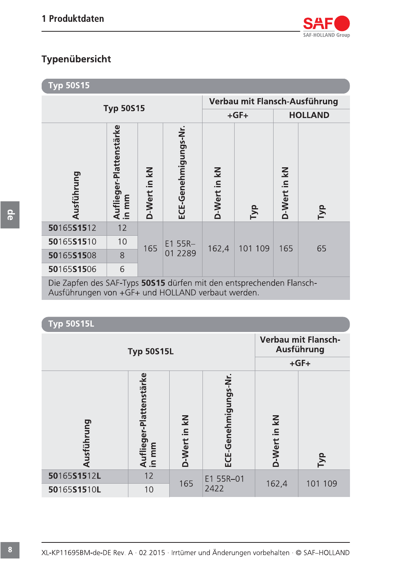

## Typenübersicht

**Typ 50S15** 

| . .                                                                  |                                                    |              |                      |                               |         |              |                |  |
|----------------------------------------------------------------------|----------------------------------------------------|--------------|----------------------|-------------------------------|---------|--------------|----------------|--|
|                                                                      | <b>Typ 50S15</b>                                   |              |                      | Verbau mit Flansch-Ausführung |         |              |                |  |
|                                                                      |                                                    |              |                      | $+GF+$                        |         |              | <b>HOLLAND</b> |  |
| Ausführung                                                           | Auflieger-Plattenstärke<br>in mm<br>m <sub>m</sub> | D-Wert in kN | ECE-Genehmigungs-Nr. | D-Wert in kN                  | Гур     | D-Wert in kN | Тур            |  |
| 50165S1512                                                           | 12                                                 |              |                      |                               |         |              |                |  |
| 50165S1510                                                           | 10                                                 |              | E1 55R-              |                               |         |              |                |  |
| 50165S1508                                                           | 8                                                  | 165          | 01 2289              | 162,4                         | 101 109 | 165          | 65             |  |
| 50165S1506                                                           | 6                                                  |              |                      |                               |         |              |                |  |
| Die Zapfen des SAF-Typs 50S15 dürfen mit den entsprechenden Flansch- |                                                    |              |                      |                               |         |              |                |  |

Ausführungen von +GF+ und HOLLAND verbaut werden.

| <b>Typ 50S15L</b> |                                          |              |                      |              |         |
|-------------------|------------------------------------------|--------------|----------------------|--------------|---------|
| <b>Typ 50S15L</b> | <b>Verbau mit Flansch-</b><br>Ausführung |              |                      |              |         |
|                   | $+GF+$                                   |              |                      |              |         |
| Ausführung        | Auflieger-Plattenstärke<br>in mm         | D-Wert in kN | ECE-Genehmigungs-Nr. | D-Wert in kN | Тур     |
| 50165S1512L       | 12                                       | 165          | E1 55R-01            |              | 101 109 |
| 50165S1510L       | 10                                       |              | 2422                 | 162,4        |         |

 $\frac{1}{\Theta}$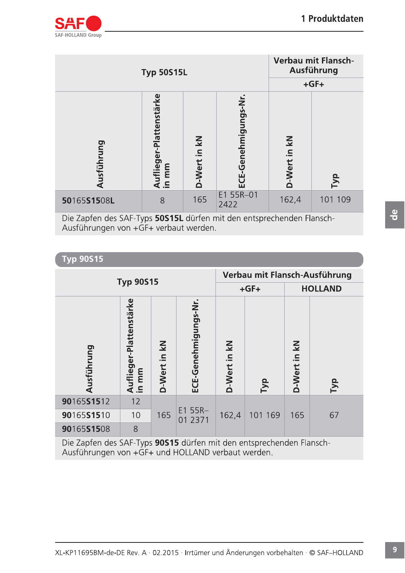

|                                                                       | <b>Typ 50S15L</b>                |              |                      |              | <b>Verbau mit Flansch-</b><br>Ausführung |
|-----------------------------------------------------------------------|----------------------------------|--------------|----------------------|--------------|------------------------------------------|
|                                                                       |                                  |              |                      |              | $+GF+$                                   |
| Ausführung                                                            | Auflieger-Plattenstärke<br>in mm | D-Wert in kN | ECE-Genehmigungs-Nr. | D-Wert in kN | Typ                                      |
| 50165S1508L                                                           | 8                                | 165          | E1 55R-01<br>2422    | 162,4        | 101 109                                  |
| Die Zapfen des SAF-Typs 50S15L dürfen mit den entsprechenden Flansch- |                                  |              |                      |              |                                          |

### Lyp 90515

| E1 55R-01<br>165<br>162,4<br>101 109<br>50165S1508L<br>8<br>2422                                                                     |  |  |  |  |  |  |  |  |
|--------------------------------------------------------------------------------------------------------------------------------------|--|--|--|--|--|--|--|--|
| Die Zapfen des SAF-Typs 50S15L dürfen mit den entsprechenden Flansch-<br>Ausführungen von +GF+ verbaut werden.                       |  |  |  |  |  |  |  |  |
| <b>Typ 90S15</b>                                                                                                                     |  |  |  |  |  |  |  |  |
| Verbau mit Flansch-Ausführung<br><b>Typ 90S15</b>                                                                                    |  |  |  |  |  |  |  |  |
| $+GF+$<br><b>HOLLAND</b>                                                                                                             |  |  |  |  |  |  |  |  |
| Auflieger-Plattenstärke<br>in mm<br>ECE-Genehmigungs-Nr.<br>D-Wert in kN<br>D-Wert in kN<br>D-Wert in kN<br>Ausführung<br>Тур<br>Typ |  |  |  |  |  |  |  |  |
| 90165S1512<br>12<br>E1 55R-                                                                                                          |  |  |  |  |  |  |  |  |
| 165<br>67<br>90165S1510<br>10<br>162,4<br>101 169<br>165<br>01 2371<br>90165S1508<br>8                                               |  |  |  |  |  |  |  |  |
| Die Zapfen des SAF-Typs 90S15 dürfen mit den entsprechenden Flansch-<br>Ausführungen von +GF+ und HOLLAND verbaut werden.            |  |  |  |  |  |  |  |  |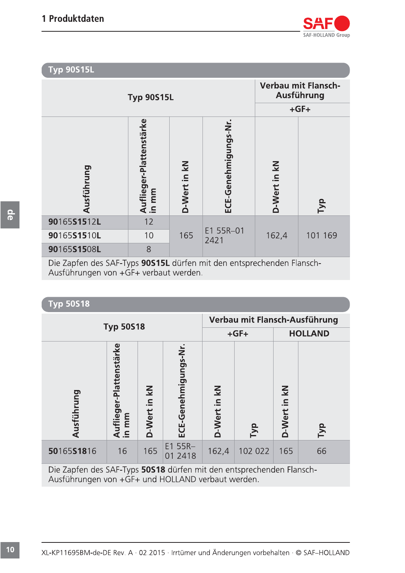

| <b>Typ 90S15L</b> |                                  | <b>Verbau mit Flansch-</b><br>Ausführung<br>$+GF+$ |                          |                                         |         |
|-------------------|----------------------------------|----------------------------------------------------|--------------------------|-----------------------------------------|---------|
| Ausführung        | Auflieger-Plattenstärke<br>in mm | D-Wert in kN                                       | CE-Genehmigungs-Nr.<br>ய | D-Wert in kN                            | Гур     |
| 90165S1512L       | 12                               |                                                    |                          |                                         |         |
| 90165S1510L       | 10                               | 165                                                | E1 55R-01<br>2421        | 162,4                                   | 101 169 |
| 90165S1508L       | 8                                |                                                    | <b>The Control</b>       | the contract of the contract of<br>$-1$ |         |

Die Zapfen des SAF-Typs 90S15L dürfen mit den entsprechenden Flansch-Ausführungen von +GF+ verbaut werden.

### **Typ 50S18**

|                  |                                  | Verbau mit Flansch-Ausführung |                      |                        |         |                 |                |
|------------------|----------------------------------|-------------------------------|----------------------|------------------------|---------|-----------------|----------------|
| <b>Typ 50S18</b> |                                  |                               |                      | $+GF+$                 |         |                 | <b>HOLLAND</b> |
| Ausführung       | Auflieger-Plattenstärke<br>in mm | in kN<br><b>D-Wert</b>        | ECE-Genehmigungs-Nr. | in kN<br><b>D-Wert</b> | Гур     | in kN<br>D-Wert | Тур            |
| 50165S1816       | 16                               | 165                           | E1 55R-<br>01 2418   | 162,4                  | 102 022 | 165             | 66             |
| $ -$             | $\sim$ $\sim$ $\sim$             |                               |                      |                        |         |                 |                |

Die Zapfen des SAF-Typs 50S18 dürfen mit den entsprechenden Flansch-Ausführungen von +GF+ und HOLLAND verbaut werden.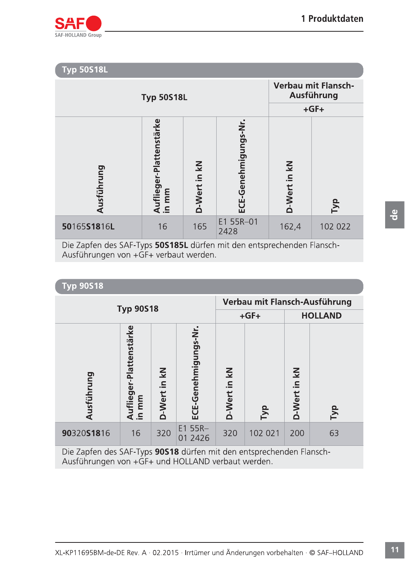

### **Typ 50S18L Verbau mit Flansch-**Ausführung **Typ 50S18L**  $+GF+$ Auflieger-Plattenstärke<br>in mm ECE-Genehmigungs-Nr. D-Wert in kN D-Wert in kN Ausführung Тур E1 55R-01 50165S1816L 162,4 16 165 102 022 2428

Die Zapfen des SAF-Typs 50S185L dürfen mit den entsprechenden Flansch-Ausführungen von +GF+ verbaut werden.

### Typ 90S18

| __                                                                   |                                      |                 |                           |                 |                               |                 |     |  |
|----------------------------------------------------------------------|--------------------------------------|-----------------|---------------------------|-----------------|-------------------------------|-----------------|-----|--|
| <b>Typ 90S18</b>                                                     |                                      |                 |                           |                 | Verbau mit Flansch-Ausführung |                 |     |  |
|                                                                      |                                      |                 |                           |                 | <b>HOLLAND</b><br>$+GF+$      |                 |     |  |
| Ausführung                                                           | Auflieger-Plattenstärke<br>mm<br>.≘. | in kN<br>D-Wert | CE-Genehmigungs-Nr.<br>ய் | in kN<br>D-Wert | Гур                           | in kN<br>D-Wert | Тур |  |
| 90320S1816                                                           | 16                                   | 320             | $E1$ 55R-<br>01 2426      | 320             | 102 021                       | 200             | 63  |  |
| Die Zapfen des SAF-Typs 90S18 dürfen mit den entsprechenden Flansch- |                                      |                 |                           |                 |                               |                 |     |  |

Ausführungen von +GF+ und HOLLAND verbaut werden.

 $\mathbf{e}$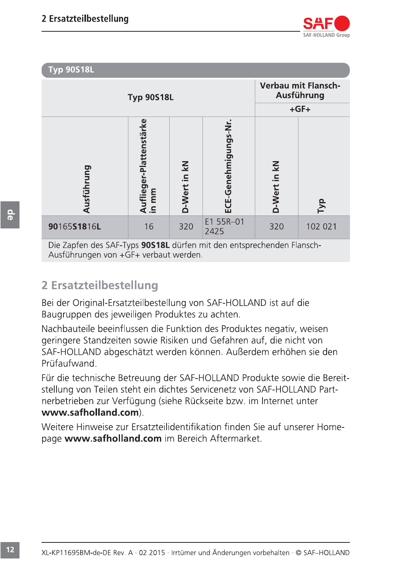| <b>Typ 90S18L</b> |                                  | <b>Verbau mit Flansch-</b><br>Ausführung<br>$+GF+$ |                           |     |         |
|-------------------|----------------------------------|----------------------------------------------------|---------------------------|-----|---------|
| Ausführung        | Auflieger-Plattenstärke<br>in mm | D-Wert in kN                                       | CE-Genehmigungs-Nr.<br>ய் |     | Гур     |
| 90165S1816L       | 16                               | 320                                                | E1 55R-01<br>2425         | 320 | 102 021 |

Die Zapfen des SAF-Typs 90S18L dürfen mit den entsprechenden Flansch-Ausführungen von +GF+ verbaut werden.

# 2 Ersatzteilbestellung

Bei der Original-Ersatzteilbestellung von SAF-HOLLAND ist auf die Baugruppen des jeweiligen Produktes zu achten.

Nachbauteile beeinflussen die Funktion des Produktes negativ, weisen geringere Standzeiten sowie Risiken und Gefahren auf, die nicht von SAF-HOLLAND abgeschätzt werden können. Außerdem erhöhen sie den Prüfaufwand.

Für die technische Betreuung der SAF-HOLLAND Produkte sowie die Bereitstellung von Teilen steht ein dichtes Servicenetz von SAF-HOLLAND Partnerbetrieben zur Verfügung (siehe Rückseite bzw. im Internet unter www.safholland.com).

Weitere Hinweise zur Ersatzteilidentifikation finden Sie auf unserer Homepage www.safholland.com im Bereich Aftermarket.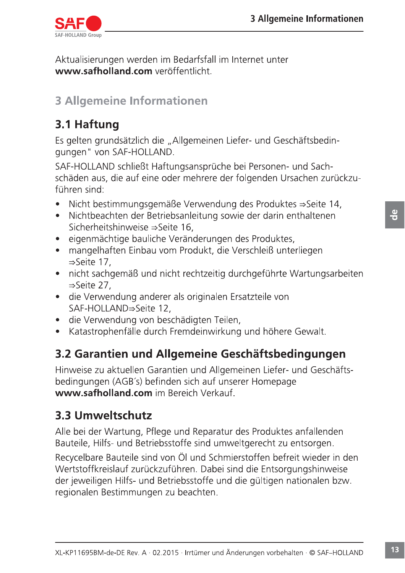

Aktualisierungen werden im Bedarfsfall im Internet unter www.safholland.com veröffentlicht.

# **3 Allgemeine Informationen**

# 3.1 Haftung

Es gelten grundsätzlich die "Allgemeinen Liefer- und Geschäftsbedingungen" von SAF-HOLLAND.

SAF-HOLLAND schließt Haftungsansprüche bei Personen- und Sachschäden aus, die auf eine oder mehrere der folgenden Ursachen zurückzuführen sind:

- Nicht bestimmungsgemäße Verwendung des Produktes ⇒Seite 14.  $\bullet$
- Nichtbeachten der Betriebsanleitung sowie der darin enthaltenen Sicherheitshinweise ⇒Seite 16.
- eigenmächtige bauliche Veränderungen des Produktes,  $\bullet$
- mangelhaften Einbau vom Produkt, die Verschleiß unterliegen  $\bullet$ ⇒Seite 17,
- nicht sachgemäß und nicht rechtzeitig durchgeführte Wartungsarbeiten  $\bullet$  $\Rightarrow$ Seite 27.
- · die Verwendung anderer als originalen Ersatzteile von SAF-HOLLAND⇒Seite 12,
- die Verwendung von beschädigten Teilen,  $\bullet$
- Katastrophenfälle durch Fremdeinwirkung und höhere Gewalt.  $\bullet$

# 3.2 Garantien und Allgemeine Geschäftsbedingungen

Hinweise zu aktuellen Garantien und Allgemeinen Liefer- und Geschäftsbedingungen (AGB's) befinden sich auf unserer Homepage www.safholland.com im Bereich Verkauf.

# 3.3 Umweltschutz

Alle bei der Wartung, Pflege und Reparatur des Produktes anfallenden Bauteile, Hilfs- und Betriebsstoffe sind umweltgerecht zu entsorgen.

Recycelbare Bauteile sind von Öl und Schmierstoffen befreit wieder in den Wertstoffkreislauf zurückzuführen. Dabei sind die Entsorgungshinweise der jeweiligen Hilfs- und Betriebsstoffe und die gültigen nationalen bzw. regionalen Bestimmungen zu beachten.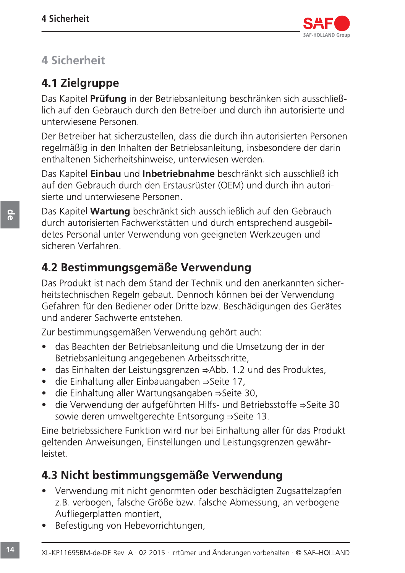

# **4 Sicherheit**

# 4.1 Zielgruppe

Das Kapitel **Prüfung** in der Betriebsanleitung beschränken sich ausschließlich auf den Gebrauch durch den Betreiber und durch ihn autorisierte und unterwiesene Personen.

Der Betreiber hat sicherzustellen, dass die durch ihn autorisierten Personen regelmäßig in den Inhalten der Betriebsanleitung, insbesondere der darin enthaltenen Sicherheitshinweise, unterwiesen werden.

Das Kapitel Einbau und Inbetriebnahme beschränkt sich ausschließlich auf den Gebrauch durch den Erstausrüster (OEM) und durch ihn autorisierte und unterwiesene Personen.

Das Kapitel Wartung beschränkt sich ausschließlich auf den Gebrauch durch autorisierten Fachwerkstätten und durch entsprechend ausgebildetes Personal unter Verwendung von geeigneten Werkzeugen und sicheren Verfahren

# 4.2 Bestimmungsgemäße Verwendung

Das Produkt ist nach dem Stand der Technik und den anerkannten sicherheitstechnischen Regeln gebaut. Dennoch können bei der Verwendung Gefahren für den Bediener oder Dritte bzw. Beschädigungen des Gerätes und anderer Sachwerte entstehen.

Zur bestimmungsgemäßen Verwendung gehört auch:

- das Beachten der Betriebsanleitung und die Umsetzung der in der  $\bullet$ Betriebsanleitung angegebenen Arbeitsschritte,
- das Einhalten der Leistungsgrenzen ⇒Abb. 1.2 und des Produktes.  $\bullet$
- die Einhaltung aller Einbauangaben  $\Rightarrow$  Seite 17,  $\bullet$
- die Einhaltung aller Wartungsangaben ⇒Seite 30,  $\bullet$
- die Verwendung der aufgeführten Hilfs- und Betriebsstoffe  $\Rightarrow$  Seite 30  $\bullet$ sowie deren umweltgerechte Entsorgung ⇒Seite 13.

Eine betriebssichere Funktion wird nur bei Einhaltung aller für das Produkt geltenden Anweisungen, Einstellungen und Leistungsgrenzen gewährleistet.

# 4.3 Nicht bestimmungsgemäße Verwendung

- Verwendung mit nicht genormten oder beschädigten Zugsattelzapfen  $\bullet$ z.B. verbogen, falsche Größe bzw. falsche Abmessung, an verbogene Aufliegerplatten montiert,
- Befestigung von Hebevorrichtungen,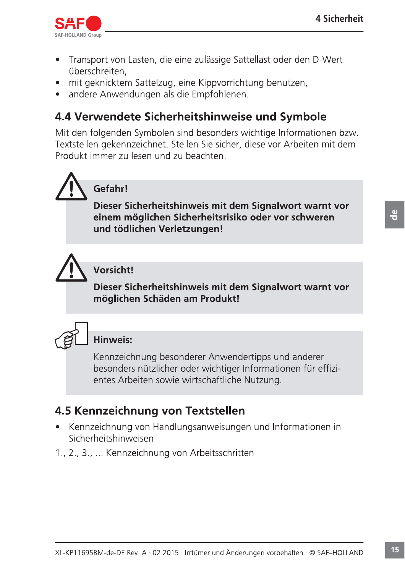

- Transport von Lasten, die eine zulässige Sattellast oder den D-Wert  $\bullet$ überschreiten.
- mit geknicktem Sattelzug, eine Kippvorrichtung benutzen,  $\bullet$
- andere Anwendungen als die Empfohlenen.  $\bullet$

# 4.4 Verwendete Sicherheitshinweise und Symbole

Mit den folgenden Symbolen sind besonders wichtige Informationen bzw. Textstellen gekennzeichnet. Stellen Sie sicher, diese vor Arbeiten mit dem Produkt immer zu lesen und zu beachten.



# Gefahr!

Dieser Sicherheitshinweis mit dem Signalwort warnt vor einem möglichen Sicherheitsrisiko oder vor schweren und tödlichen Verletzungen!



# Vorsicht!

Dieser Sicherheitshinweis mit dem Signalwort warnt vor möglichen Schäden am Produkt!



# Hinweis:

Kennzeichnung besonderer Anwendertipps und anderer besonders nützlicher oder wichtiger Informationen für effizientes Arbeiten sowie wirtschaftliche Nutzung.

# 4.5 Kennzeichnung von Textstellen

- Kennzeichnung von Handlungsanweisungen und Informationen in  $\bullet$ Sicherheitshinweisen
- 1., 2., 3., ... Kennzeichnung von Arbeitsschritten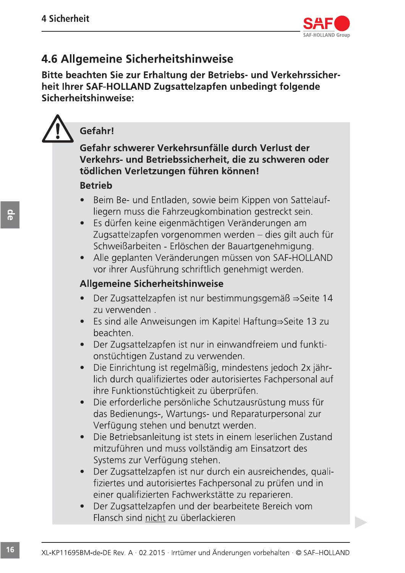

# 4.6 Aligemeine Sicherheitshinweise

Bitte beachten Sie zur Erhaltung der Betriebs- und Verkehrssicherheit inrer SAF-HOLLAND Zugsatteizapfen unbedingt folgende Sicherheitshinweise:

# Gefahr!

# **SAFACTS**<br>
SAF-HOLLAND Group<br>
der Betriebs- und Verkehrssicher-<br>
Elzapfen unbedingt folgende<br>
SAF-HOLLAND Group<br>
Elzapfen unbedingt folgende<br>
führen können!<br>
SAF-HOLLAND Group<br>
SAF-HOLLAND Group<br>
TREAD AND Group<br>
TREAD AND Gefahr schwerer Verkehrsunfalle durch Verlust der Verkehrs- und Betriebssicherheit, die zu schweren ( nder Sie zur Erhaltung der Betriebs- und Verkehrssicher-<br>1994-HOLLAND Zugsattelzapfen unbedingt folgende<br>1994-HOLLAND Zugsattelzapfen unbedingt folgende<br>1994-Hollin verkehrs- und Betriebssicherheit, die zu schweren oder<br>19 verletzungen führen konnen! Sefahr!<br>
Sefahr schwerer Verkehrsunfälle durch Verlust der Verkehrsund Betriebsischerheit, die zu schweren oder<br>
relieflem Verletzungen führen können!<br>
Betriebsischer Nörden, sowie beim Klippen von Satiralu-<br>
liegen muss

### **Betrieb**

- Beim Be- und Entladen, sowie beim Kippen von Sattelaufliegern muss die Fahrzeugkombination gestreckt sein.
- Es dürfen keine eigenmächtigen Veränderungen am Zugsattelzapfen vorgenommen werden – dies gilt auch für Schweißarbeiten - Erlöschen der Bauartgenehmigung.
- Alle geplanten Veränderungen müssen von SAF-HOLLAND vor ihrer Ausführung schriftlich genehmigt werden.

# Aligemeine Sicherheitshinweise

- Der Zugsattelzapfen ist nur bestimmungsgemäß  $\Rightarrow$ Seite 14 zu verwenden .
- Es sind alle Anweisungen im Kapitel Haftung⇒Seite 13 zu beachten.
- Der Zugsattelzapfen ist nur in einwandfreiem und funktionstüchtigen Zustand zu verwenden.
- Die Einrichtung ist regelmäßig, mindestens jedoch 2x jährlich durch qualifiziertes oder autorisiertes Fachpersonal auf ihre Funktionstüchtigkeit zu überprüfen.
- Die erforderliche persönliche Schutzausrüstung muss für das Bedienungs-, Wartungs- und Reparaturpersonal zur Verfügung stehen und benutzt werden.
- Die Betriebsanleitung ist stets in einem leserlichen Zustand mitzuführen und muss vollständig am Einsatzort des Systems zur Verfügung stehen.
- Der Zugsattelzapfen ist nur durch ein ausreichendes, qualifiziertes und autorisiertes Fachpersonal zu prüfen und in einer qualifizierten Fachwerkstätte zu reparieren.
- Der Zugsattelzapfen und der bearbeitete Bereich vom Flansch sind nicht zu überlackieren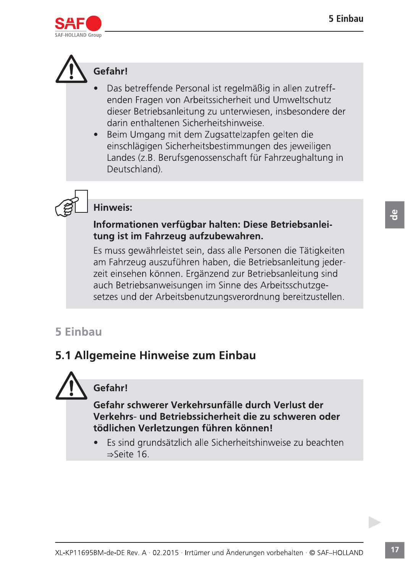



# Gefahr!

- Das betreffende Personal ist regelmäßig in allen zutreffenden Fragen von Arbeitssicherheit und Umweltschutz dieser Betriebsanleitung zu unterwiesen, insbesondere der darin enthaltenen Sicherheitshinweise.
- Beim Umgang mit dem Zugsattelzapfen gelten die  $\bullet$ einschlägigen Sicherheitsbestimmungen des jeweiligen Landes (z.B. Berufsgenossenschaft für Fahrzeughaltung in Deutschland).

# **Hinweis:**

### Informationen verfügbar halten: Diese Betriebsanleitung ist im Fahrzeug aufzubewahren.

Es muss gewährleistet sein, dass alle Personen die Tätigkeiten am Fahrzeug auszuführen haben, die Betriebsanleitung jederzeit einsehen können. Ergänzend zur Betriebsanleitung sind auch Betriebsanweisungen im Sinne des Arbeitsschutzgesetzes und der Arbeitsbenutzungsverordnung bereitzustellen.

# 5 Einbau

# 5.1 Allgemeine Hinweise zum Einbau

# Gefahr!

Gefahr schwerer Verkehrsunfälle durch Verlust der Verkehrs- und Betriebssicherheit die zu schweren oder tödlichen Verletzungen führen können!

Es sind grundsätzlich alle Sicherheitshinweise zu beachten  $\Rightarrow$ Seite 16.

 $\frac{1}{\sigma}$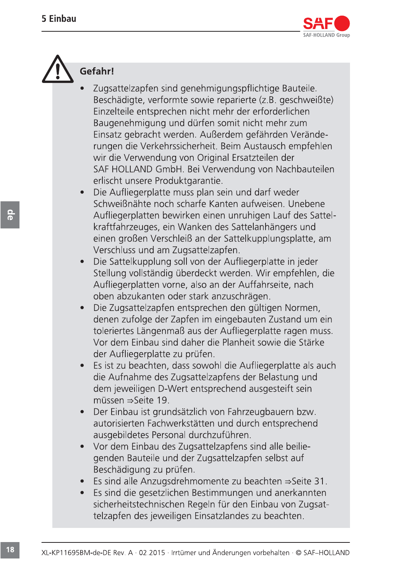



- Zugsattelzapfen sind genehmigungspflichtige Bauteile. Beschädigte, verformte sowie reparierte (z.B. geschweißte) Einzelteile entsprechen nicht mehr der erforderlichen Baugenehmigung und dürfen somit nicht mehr zum Einsatz gebracht werden. Außerdem gefährden Veränderungen die Verkehrssicherheit. Beim Austausch empfehlen wir die Verwendung von Original Ersatzteilen der SAF HOLLAND GmbH. Bei Verwendung von Nachbauteilen erlischt unsere Produktgarantie.
- Die Aufliegerplatte muss plan sein und darf weder Schweißnähte noch scharfe Kanten aufweisen. Unebene Aufliegerplatten bewirken einen unruhigen Lauf des Sattelkraftfahrzeuges, ein Wanken des Sattelanhängers und einen großen Verschleiß an der Sattelkupplungsplatte, am Verschluss und am Zugsattelzapfen.
- Die Sattelkupplung soll von der Aufliegerplatte in jeder Stellung vollständig überdeckt werden. Wir empfehlen, die Aufliegerplatten vorne, also an der Auffahrseite, nach oben abzukanten oder stark anzuschrägen.
- Die Zugsattelzapfen entsprechen den gültigen Normen, denen zufolge der Zapfen im eingebauten Zustand um ein toleriertes Längenmaß aus der Aufliegerplatte ragen muss. Vor dem Einbau sind daher die Planheit sowie die Stärke der Aufliegerplatte zu prüfen.
- Es ist zu beachten, dass sowohl die Aufliegerplatte als auch die Aufnahme des Zugsattelzapfens der Belastung und dem jeweiligen D-Wert entsprechend ausgesteift sein müssen  $\Rightarrow$  Seite 19.
- Der Einbau ist grundsätzlich von Fahrzeugbauern bzw. autorisierten Fachwerkstätten und durch entsprechend ausgebildetes Personal durchzuführen.
- Vor dem Einbau des Zugsattelzapfens sind alle beiliegenden Bauteile und der Zugsattelzapfen selbst auf Beschädigung zu prüfen.
- Es sind alle Anzugsdrehmomente zu beachten  $\Rightarrow$  Seite 31.
- Es sind die gesetzlichen Bestimmungen und anerkannten sicherheitstechnischen Regeln für den Einbau von Zugsattelzapfen des jeweiligen Einsatzlandes zu beachten.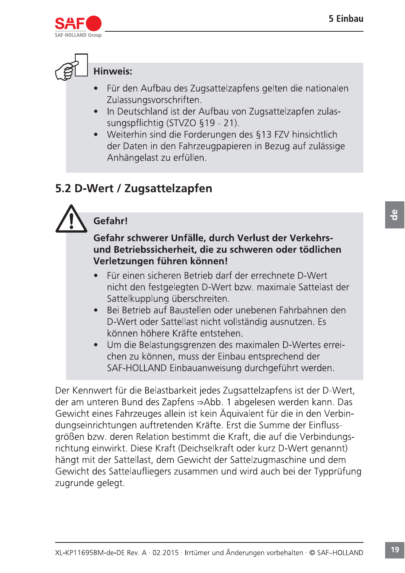



### **Hinweis:**

- Für den Aufbau des Zugsattelzapfens gelten die nationalen Zulassungsvorschriften.
- In Deutschland ist der Aufbau von Zugsattelzapfen zulas- $\bullet$ sungspflichtig (STVZO §19 - 21).
- Weiterhin sind die Forderungen des §13 FZV hinsichtlich der Daten in den Fahrzeugpapieren in Bezug auf zulässige Anhängelast zu erfüllen.

# 5.2 D-Wert / Zugsattelzapfen

# Gefahr!

### Gefahr schwerer Unfälle, durch Verlust der Verkehrsund Betriebssicherheit, die zu schweren oder tödlichen Verletzungen führen können!

- Für einen sicheren Betrieb darf der errechnete D-Wert nicht den festgelegten D-Wert bzw. maximale Sattelast der Sattelkupplung überschreiten.
- Bei Betrieb auf Baustellen oder unebenen Fahrbahnen den  $\bullet$ D-Wert oder Sattellast nicht vollständig ausnutzen. Es können höhere Kräfte entstehen.
- Um die Belastungsgrenzen des maximalen D-Wertes erreichen zu können, muss der Einbau entsprechend der SAF-HOLLAND Einbauanweisung durchgeführt werden.

Der Kennwert für die Belastbarkeit jedes Zugsattelzapfens ist der D-Wert, der am unteren Bund des Zapfens ⇒Abb. 1 abgelesen werden kann. Das Gewicht eines Fahrzeuges allein ist kein Äguivalent für die in den Verbindungseinrichtungen auftretenden Kräfte. Erst die Summe der Einflussgrößen bzw. deren Relation bestimmt die Kraft, die auf die Verbindungsrichtung einwirkt. Diese Kraft (Deichselkraft oder kurz D-Wert genannt) hängt mit der Sattellast, dem Gewicht der Sattelzugmaschine und dem Gewicht des Sattelaufliegers zusammen und wird auch bei der Typprüfung zugrunde gelegt.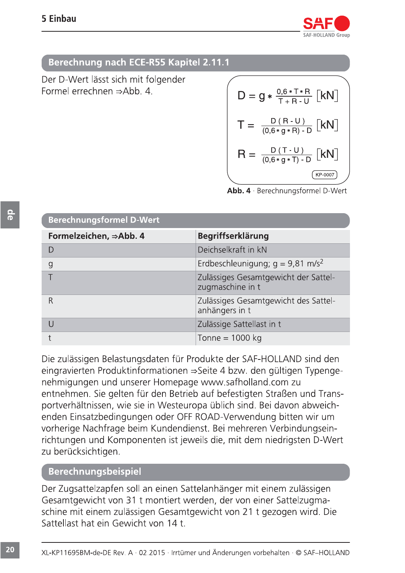

### Berechnung nach ECE-R55 Kapitel 2.11.1

Der D-Wert lässt sich mit folgender Formel errechnen  $\Rightarrow$ Abb, 4.

$$
D = g * \frac{0.6 * T * R}{T + R - U} [kN]
$$
  
\n
$$
T = \frac{D (R - U)}{(0.6 * g * R) - D} [kN]
$$
  
\n
$$
R = \frac{D (T - U)}{(0.6 * g * T) - D} [kN]
$$

Abb. 4 · Berechnungsformel D-Wert

| <b>Berechnungsformel D-Wert</b> |                                                          |  |
|---------------------------------|----------------------------------------------------------|--|
| Formelzeichen, ⇒Abb. 4          | Begriffserklärung                                        |  |
|                                 | Deichselkraft in kN                                      |  |
| g                               | Erdbeschleunigung; $q = 9.81$ m/s <sup>2</sup>           |  |
|                                 | Zulässiges Gesamtgewicht der Sattel-<br>zugmaschine in t |  |
| R                               | Zulässiges Gesamtgewicht des Sattel-<br>anhängers in t   |  |
|                                 | Zulässige Sattellast in t                                |  |
|                                 | Tonne = $1000$ kg                                        |  |

Die zulässigen Belastungsdaten für Produkte der SAF-HOLLAND sind den eingravierten Produktinformationen ⇒Seite 4 bzw. den gültigen Typengenehmigungen und unserer Homepage www.safholland.com zu entnehmen. Sie gelten für den Betrieb auf befestigten Straßen und Transportverhältnissen, wie sie in Westeuropa üblich sind. Bei davon abweichenden Einsatzbedingungen oder OFF ROAD-Verwendung bitten wir um vorherige Nachfrage beim Kundendienst. Bei mehreren Verbindungseinrichtungen und Komponenten ist jeweils die, mit dem niedrigsten D-Wert zu berücksichtigen.

### Berechnungsbeispiel

Der Zugsattelzapfen soll an einen Sattelanhänger mit einem zulässigen Gesamtgewicht von 31 t montiert werden, der von einer Sattelzugmaschine mit einem zulässigen Gesamtgewicht von 21 t gezogen wird. Die Sattellast hat ein Gewicht von 14 t.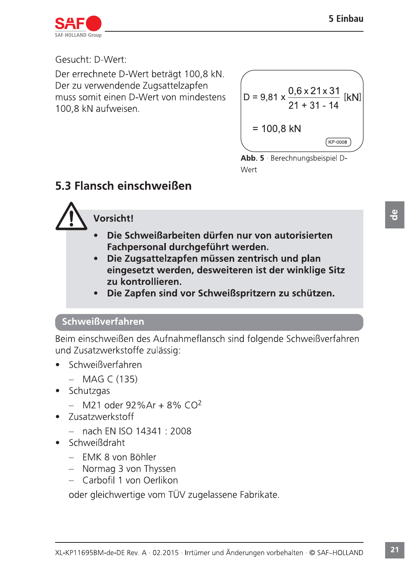

Gesucht: D-Wert:

Der errechnete D-Wert beträgt 100,8 kN. Der zu verwendende Zugsattelzapfen muss somit einen D-Wert von mindestens 100,8 kN aufweisen.

$$
D = 9,81 \times \frac{0.6 \times 21 \times 31}{21 + 31 - 14}
$$
 [kN]  
= 100,8 kN

Abb. 5 · Berechnungsbeispiel D-Wert

# 5.3 Flansch einschweißen



### Vorsicht!

- Die Schweißarbeiten dürfen nur von autorisierten Fachpersonal durchgeführt werden.
- Die Zugsattelzapfen müssen zentrisch und plan eingesetzt werden, desweiteren ist der winklige Sitz zu kontrollieren.
- Die Zapfen sind vor Schweißspritzern zu schützen.

### Schweißverfahren

Beim einschweißen des Aufnahmeflansch sind folgende Schweißverfahren und Zusatzwerkstoffe zulässig:

- Schweißverfahren  $\bullet$ 
	- $-$  MAG C (135)
- Schutzgas
	- $-$  M21 oder 92%Ar + 8% CO<sup>2</sup>
- Zusatzwerkstoff
	- nach EN ISO 14341 : 2008
- Schweißdraht
	- EMK 8 von Böhler
	- Normag 3 von Thyssen
	- Carbofil 1 von Oerlikon

oder gleichwertige vom TÜV zugelassene Fabrikate.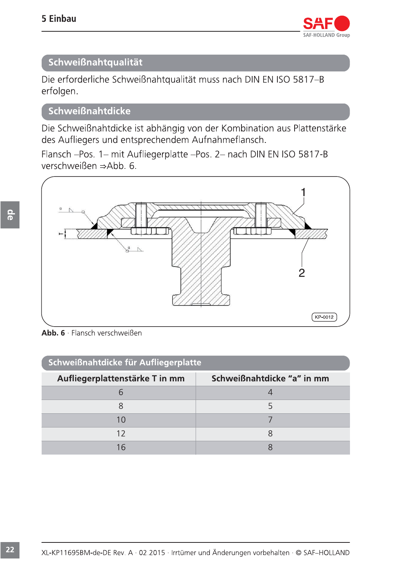

### Schweißnahtqualität

Die erforderliche Schweißnahtqualität muss nach DIN EN ISO 5817-B erfolgen.

### Schweißnahtdicke

Die Schweißnahtdicke ist abhängig von der Kombination aus Plattenstärke des Aufliegers und entsprechendem Aufnahmeflansch.

Flansch - Pos. 1- mit Aufliegerplatte - Pos. 2- nach DIN EN ISO 5817-B verschweißen  $\Rightarrow$ Abb. 6.



Abb. 6 · Flansch verschweißen

| Schweißnahtdicke für Aufliegerplatte |                            |  |
|--------------------------------------|----------------------------|--|
| Aufliegerplattenstärke T in mm       | Schweißnahtdicke "a" in mm |  |
|                                      |                            |  |
| 8                                    |                            |  |
| 10                                   |                            |  |
| 12                                   |                            |  |
| 16                                   |                            |  |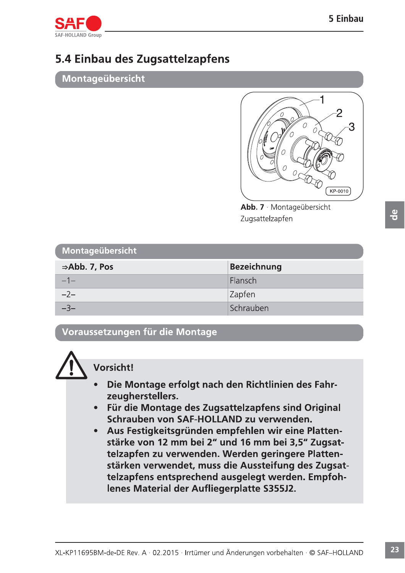

# 5.4 Einbau des Zugsattelzapfens

### Montageübersicht



Abb. 7 · Montageübersicht Zugsattelzapfen

| Montageübersicht          |                    |  |
|---------------------------|--------------------|--|
| $\Rightarrow$ Abb. 7, Pos | <b>Bezeichnung</b> |  |
| $-1$                      | Flansch            |  |
| $-2-$                     | Zapfen             |  |
|                           | Schrauben          |  |

### Voraussetzungen für die Montage

![](_page_22_Picture_8.jpeg)

**Vorsicht!** 

- Die Montage erfolgt nach den Richtlinien des Fahrzeugherstellers.
- Für die Montage des Zugsattelzapfens sind Original  $\bullet$ Schrauben von SAF-HOLLAND zu verwenden.
- Aus Festigkeitsgründen empfehlen wir eine Platten- $\bullet$ stärke von 12 mm bei 2" und 16 mm bei 3,5" Zugsattelzapfen zu verwenden. Werden geringere Plattenstärken verwendet, muss die Aussteifung des Zugsattelzapfens entsprechend ausgelegt werden. Empfohlenes Material der Aufliegerplatte S355J2.

 $\frac{1}{\sigma}$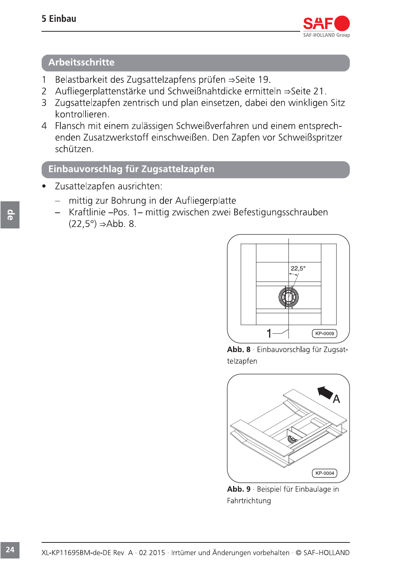![](_page_23_Picture_1.jpeg)

### Arbeitsschritte

- Belastbarkeit des Zugsattelzapfens prüfen ⇒Seite 19.  $\mathbf{1}$
- Aufliegerplattenstärke und Schweißnahtdicke ermitteln ⇒Seite 21.  $\overline{2}$
- Zugsattelzapfen zentrisch und plan einsetzen, dabei den winkligen Sitz 3 kontrollieren.
- 4 Flansch mit einem zulässigen Schweißverfahren und einem entsprechenden Zusatzwerkstoff einschweißen. Den Zapfen vor Schweißspritzer schützen

### Einbauvorschlag für Zugsattelzapfen

- Zusattelzapfen ausrichten:
	- mittig zur Bohrung in der Aufliegerplatte
	- Kraftlinie Pos. 1 mittig zwischen zwei Befestigungsschrauben  $\frac{1}{2}$  $(22,5^{\circ}) \Rightarrow$ Abb. 8.

![](_page_23_Figure_11.jpeg)

Abb. 8 · Einbauvorschlag für Zugsattelzapfen

![](_page_23_Figure_13.jpeg)

Abb. 9 · Beispiel für Einbaulage in Fahrtrichtung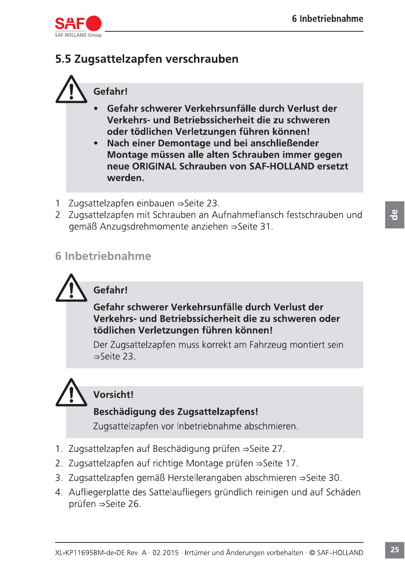![](_page_24_Picture_1.jpeg)

# 5.5 Zugsattelzapfen verschrauben

![](_page_24_Picture_3.jpeg)

# Gefahr!

- Gefahr schwerer Verkehrsunfälle durch Verlust der Verkehrs- und Betriebssicherheit die zu schweren oder tödlichen Verletzungen führen können!
- Nach einer Demontage und bei anschließender Montage müssen alle alten Schrauben immer gegen neue ORIGINAL Schrauben von SAF-HOLLAND ersetzt werden.
- Zugsattelzapfen einbauen  $\Rightarrow$ Seite 23.  $\mathbf{1}$
- 2 Zugsattelzapfen mit Schrauben an Aufnahmeflansch festschrauben und gemäß Anzugsdrehmomente anziehen ⇒Seite 31.

# 6 Inbetriebnahme

![](_page_24_Picture_10.jpeg)

# Gefahr!

### Gefahr schwerer Verkehrsunfälle durch Verlust der Verkehrs- und Betriebssicherheit die zu schweren oder tödlichen Verletzungen führen können!

Der Zugsattelzapfen muss korrekt am Fahrzeug montiert sein  $\Rightarrow$ Seite 23.

![](_page_24_Picture_14.jpeg)

# **Vorsicht!**

# **Beschädigung des Zugsattelzapfens!**

Zugsattelzapfen vor Inbetriebnahme abschmieren.

- 1. Zugsattelzapfen auf Beschädigung prüfen ⇒Seite 27.
- 2. Zugsattelzapfen auf richtige Montage prüfen ⇒Seite 17.
- 3. Zugsattelzapfen gemäß Herstellerangaben abschmieren ⇒Seite 30.
- 4. Aufliegerplatte des Sattelaufliegers gründlich reinigen und auf Schäden prüfen ⇒Seite 26.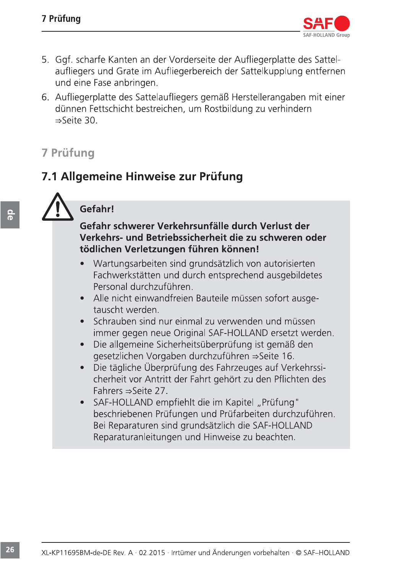![](_page_25_Picture_1.jpeg)

- 5. Ggf. scharfe Kanten an der Vorderseite der Aufliegerplatte des Sattelaufliegers und Grate im Aufliegerbereich der Sattelkupplung entfernen und eine Fase anbringen.
- 6. Aufliegerplatte des Sattelaufliegers gemäß Herstellerangaben mit einer dünnen Fettschicht bestreichen, um Rostbildung zu verhindern  $\Rightarrow$ Seite 30

# 7 Prüfung

# 7.1 Allgemeine Hinweise zur Prüfung

![](_page_25_Picture_6.jpeg)

# Gefahr!

### Gefahr schwerer Verkehrsunfälle durch Verlust der Verkehrs- und Betriebssicherheit die zu schweren oder tödlichen Verletzungen führen können!

- Wartungsarbeiten sind grundsätzlich von autorisierten Fachwerkstätten und durch entsprechend ausgebildetes Personal durchzuführen.
- Alle nicht einwandfreien Bauteile müssen sofort ausgetauscht werden.
- Schrauben sind nur einmal zu verwenden und müssen immer gegen neue Original SAF-HOLLAND ersetzt werden.
- Die allgemeine Sicherheitsüberprüfung ist gemäß den gesetzlichen Vorgaben durchzuführen ⇒Seite 16.
- Die tägliche Überprüfung des Fahrzeuges auf Verkehrssicherheit vor Antritt der Fahrt gehört zu den Pflichten des Fahrers  $\Rightarrow$  Seite 27.
- SAF-HOLLAND empfiehlt die im Kapitel "Prüfung" beschriebenen Prüfungen und Prüfarbeiten durchzuführen. Bei Reparaturen sind grundsätzlich die SAF-HOLLAND Reparaturanleitungen und Hinweise zu beachten.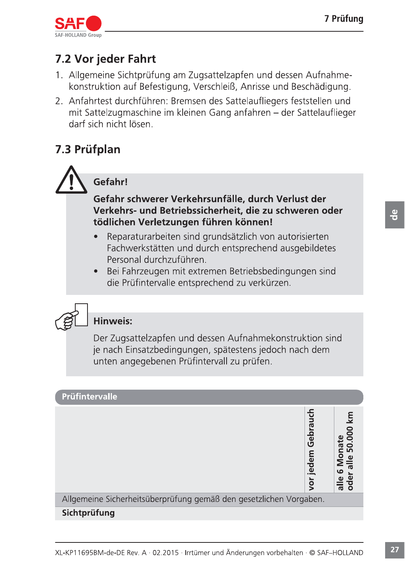![](_page_26_Picture_1.jpeg)

# 7.2 Vor jeder Fahrt

- 1. Allgemeine Sichtprüfung am Zugsattelzapfen und dessen Aufnahmekonstruktion auf Befestigung, Verschleiß, Anrisse und Beschädigung.
- 2. Anfahrtest durchführen: Bremsen des Sattelaufliegers feststellen und mit Sattelzugmaschine im kleinen Gang anfahren – der Sattelauflieger darf sich nicht lösen

# 7.3 Prüfplan

![](_page_26_Picture_6.jpeg)

### Gefahr!

### Gefahr schwerer Verkehrsunfälle, durch Verlust der Verkehrs- und Betriebssicherheit, die zu schweren oder tödlichen Verletzungen führen können!

- Reparaturarbeiten sind grundsätzlich von autorisierten Fachwerkstätten und durch entsprechend ausgebildetes Personal durchzuführen.
- Bei Fahrzeugen mit extremen Betriebsbedingungen sind die Prüfintervalle entsprechend zu verkürzen.

![](_page_26_Picture_11.jpeg)

### **Hinweis:**

Der Zugsattelzapfen und dessen Aufnahmekonstruktion sind je nach Einsatzbedingungen, spätestens jedoch nach dem unten angegebenen Prüfintervall zu prüfen.

### Prüfintervalle

vor jedem Gebrauch oder alle 50.000 km alle 6 Monate Allgemeine Sicherheitsüberprüfung gemäß den gesetzlichen Vorgaben. Sichtprüfung

 $\frac{1}{\sigma}$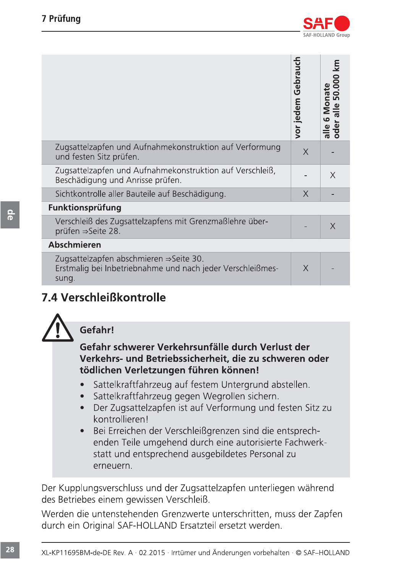![](_page_27_Picture_1.jpeg)

|                                                                                                               | vor jedem Gebrauch | 50.000<br><b>Monate</b><br>r alle<br>$\bullet$<br>oder<br>$\frac{1}{10}$ |
|---------------------------------------------------------------------------------------------------------------|--------------------|--------------------------------------------------------------------------|
| Zugsattelzapfen und Aufnahmekonstruktion auf Verformung<br>und festen Sitz prüfen.                            | $\times$           |                                                                          |
| Zugsattelzapfen und Aufnahmekonstruktion auf Verschleiß,<br>Beschädigung und Anrisse prüfen.                  |                    | X                                                                        |
| Sichtkontrolle aller Bauteile auf Beschädigung.                                                               | $\times$           |                                                                          |
| <b>Funktionsprüfung</b>                                                                                       |                    |                                                                          |
| Verschleiß des Zugsattelzapfens mit Grenzmaßlehre über-<br>prüfen ⇒Seite 28.                                  |                    | $\times$                                                                 |
| <b>Abschmieren</b>                                                                                            |                    |                                                                          |
| Zugsattelzapfen abschmieren ⇒Seite 30.<br>Erstmalig bei Inbetriebnahme und nach jeder Verschleißmes-<br>sung. | $\times$           |                                                                          |

# 7.4 Verschleißkontrolle

![](_page_27_Picture_4.jpeg)

# Gefahr!

Gefahr schwerer Verkehrsunfälle durch Verlust der Verkehrs- und Betriebssicherheit, die zu schweren oder tödlichen Verletzungen führen können!

- Sattelkraftfahrzeug auf festem Untergrund abstellen.
- Sattelkraftfahrzeug gegen Wegrollen sichern.  $\bullet$
- Der Zugsattelzapfen ist auf Verformung und festen Sitz zu kontrollieren!
- Bei Erreichen der Verschleißgrenzen sind die entsprechenden Teile umgehend durch eine autorisierte Fachwerkstatt und entsprechend ausgebildetes Personal zu erneuern.

Der Kupplungsverschluss und der Zugsattelzapfen unterliegen während des Betriebes einem gewissen Verschleiß.

Werden die untenstehenden Grenzwerte unterschritten, muss der Zapfen durch ein Original SAF-HOLLAND Ersatzteil ersetzt werden.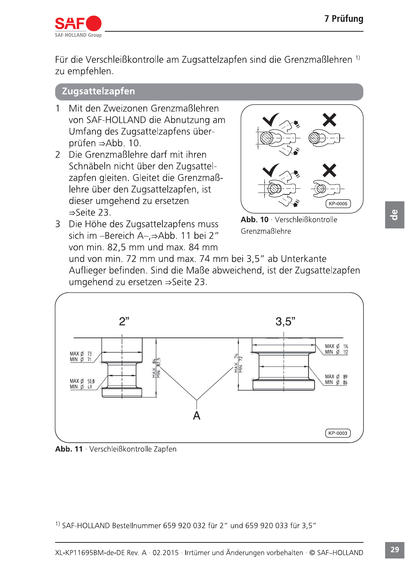![](_page_28_Picture_1.jpeg)

Für die Verschleißkontrolle am Zugsattelzapfen sind die Grenzmaßlehren <sup>1)</sup> zu empfehlen.

### Zugsattelzapfen

- Mit den Zweizonen Grenzmaßlehren  $\mathbf{1}$ von SAF-HOLLAND die Abnutzung am Umfang des Zugsattelzapfens überprüfen ⇒Abb. 10.
- 2 Die Grenzmaßlehre darf mit ihren Schnäbeln nicht über den Zugsattelzapfen gleiten. Gleitet die Grenzmaßlehre über den Zugsattelzapfen, ist dieser umgehend zu ersetzen  $\Rightarrow$ Seite 23

![](_page_28_Picture_6.jpeg)

3 Die Höhe des Zugsattelzapfens muss sich im -Bereich A-,⇒Abb. 11 bei 2″ von min. 82,5 mm und max. 84 mm

Abb. 10 · Verschleißkontrolle Grenzmaßlehre

und von min. 72 mm und max. 74 mm bei 3.5" ab Unterkante Auflieger befinden. Sind die Maße abweichend, ist der Zugsattelzapfen umgehend zu ersetzen ⇒Seite 23.

![](_page_28_Figure_10.jpeg)

Abb. 11 · Verschleißkontrolle Zapfen

<sup>1)</sup> SAF-HOLLAND Bestellnummer 659 920 032 für 2" und 659 920 033 für 3,5"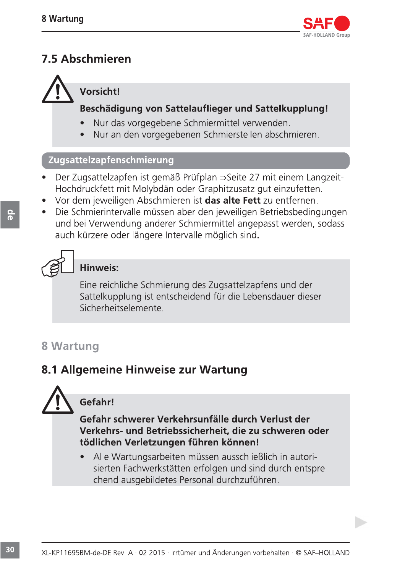![](_page_29_Picture_1.jpeg)

# 7.5 Abschmieren

![](_page_29_Picture_3.jpeg)

# Vorsicht!

### Beschädigung von Sattelauflieger und Sattelkupplung!

- Nur das vorgegebene Schmiermittel verwenden.
- Nur an den vorgegebenen Schmierstellen abschmieren.

### Zugsattelzapfenschmierung

- Der Zugsattelzapfen ist gemäß Prüfplan ⇒Seite 27 mit einem Langzeit-Hochdruckfett mit Molybdän oder Graphitzusatz gut einzufetten.
- Vor dem jeweiligen Abschmieren ist das alte Fett zu entfernen.
- Die Schmierintervalle müssen aber den jeweiligen Betriebsbedingungen  $\bullet$ und bei Verwendung anderer Schmiermittel angepasst werden, sodass auch kürzere oder längere Intervalle möglich sind.

![](_page_29_Picture_12.jpeg)

### Hinweis:

Eine reichliche Schmierung des Zugsattelzapfens und der Sattelkupplung ist entscheidend für die Lebensdauer dieser Sicherheitselemente

# 8 Wartung

# 8.1 Allgemeine Hinweise zur Wartung

![](_page_29_Picture_17.jpeg)

# Gefahr!

Gefahr schwerer Verkehrsunfälle durch Verlust der Verkehrs- und Betriebssicherheit, die zu schweren oder tödlichen Verletzungen führen können!

Alle Wartungsarbeiten müssen ausschließlich in autorisierten Fachwerkstätten erfolgen und sind durch entsprechend ausgebildetes Personal durchzuführen.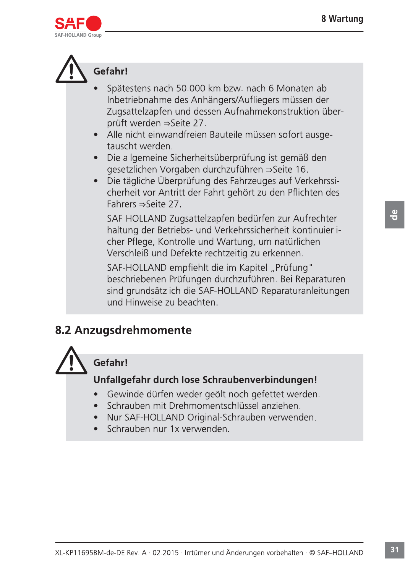![](_page_30_Picture_1.jpeg)

![](_page_30_Picture_2.jpeg)

# Gefahr!

- Spätestens nach 50.000 km bzw. nach 6 Monaten ab Inbetriebnahme des Anhängers/Aufliegers müssen der Zugsattelzapfen und dessen Aufnahmekonstruktion überprüft werden ⇒Seite 27.
- Alle nicht einwandfreien Bauteile müssen sofort ausge- $\bullet$ tauscht werden.
- Die allgemeine Sicherheitsüberprüfung ist gemäß den  $\bullet$ gesetzlichen Vorgaben durchzuführen ⇒Seite 16.
- Die tägliche Überprüfung des Fahrzeuges auf Verkehrssi- $\bullet$ cherheit vor Antritt der Fahrt gehört zu den Pflichten des Fahrers  $\Rightarrow$  Seite 27.

SAF-HOLLAND Zugsattelzapfen bedürfen zur Aufrechterhaltung der Betriebs- und Verkehrssicherheit kontinuierlicher Pflege, Kontrolle und Wartung, um natürlichen Verschleiß und Defekte rechtzeitig zu erkennen.

SAF-HOLLAND empfiehlt die im Kapitel "Prüfung" beschriebenen Prüfungen durchzuführen. Bei Reparaturen sind grundsätzlich die SAF-HOLLAND Reparaturanleitungen und Hinweise zu beachten.

# 8.2 Anzugsdrehmomente

### Gefahr!

### Unfallgefahr durch lose Schraubenverbindungen!

- Gewinde dürfen weder geölt noch gefettet werden.  $\bullet$
- Schrauben mit Drehmomentschlüssel anziehen.
- Nur SAF-HOLLAND Original-Schrauben verwenden.  $\bullet$
- Schrauben nur 1x verwenden.

 $\frac{1}{\sigma}$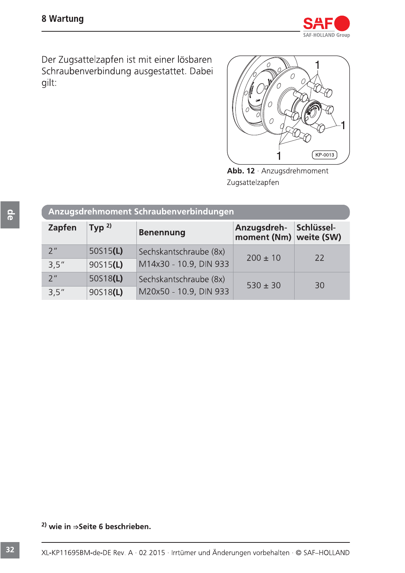![](_page_31_Picture_1.jpeg)

Der Zugsattelzapfen ist mit einer lösbaren Schraubenverbindung ausgestattet. Dabei gilt:

![](_page_31_Figure_3.jpeg)

Abb. 12 · Anzugsdrehmoment Zugsattelzapfen

| Anzugsdrehmoment Schraubenverbindungen |                   |                        |                                       |            |
|----------------------------------------|-------------------|------------------------|---------------------------------------|------------|
| Zapfen                                 | Type <sup>2</sup> | <b>Benennung</b>       | Anzugsdreh-<br>moment (Nm) weite (SW) | Schlüssel- |
| 2 <sup>''</sup>                        | 50S15 $(L)$       | Sechskantschraube (8x) | $200 \pm 10$                          | 22         |
| 3,5"                                   | 90S15(L)          | M14x30 - 10.9, DIN 933 |                                       |            |
| 2 <sup>''</sup>                        | 50518(L)          | Sechskantschraube (8x) | $530 \pm 30$                          | 30         |
| 3,5"                                   | 90S18(L)          | M20x50 - 10.9, DIN 933 |                                       |            |

<sup>2)</sup> wie in  $\Rightarrow$  Seite 6 beschrieben.